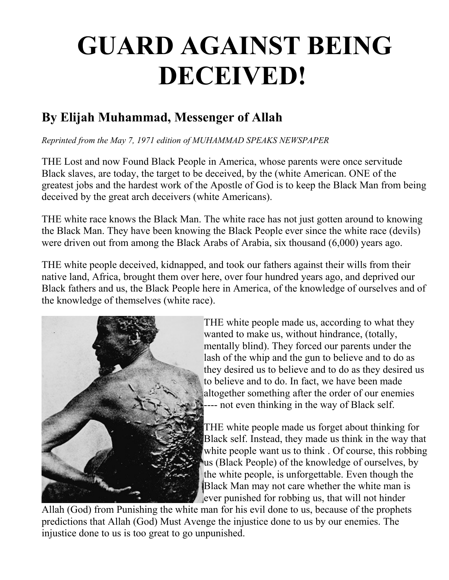## **GUARD AGAINST BEING DECEIVED!**

## **By Elijah Muhammad, Messenger of Allah**

*Reprinted from the May 7, 1971 edition of MUHAMMAD SPEAKS NEWSPAPER*

THE Lost and now Found Black People in America, whose parents were once servitude Black slaves, are today, the target to be deceived, by the (white American. ONE of the greatest jobs and the hardest work of the Apostle of God is to keep the Black Man from being deceived by the great arch deceivers (white Americans).

THE white race knows the Black Man. The white race has not just gotten around to knowing the Black Man. They have been knowing the Black People ever since the white race (devils) were driven out from among the Black Arabs of Arabia, six thousand (6,000) years ago.

THE white people deceived, kidnapped, and took our fathers against their wills from their native land, Africa, brought them over here, over four hundred years ago, and deprived our Black fathers and us, the Black People here in America, of the knowledge of ourselves and of the knowledge of themselves (white race).



THE white people made us, according to what they wanted to make us, without hindrance, (totally, mentally blind). They forced our parents under the lash of the whip and the gun to believe and to do as they desired us to believe and to do as they desired us to believe and to do. In fact, we have been made altogether something after the order of our enemies ---- not even thinking in the way of Black self.

THE white people made us forget about thinking for Black self. Instead, they made us think in the way that white people want us to think. Of course, this robbing us (Black People) of the knowledge of ourselves, by the white people, is unforgettable. Even though the Black Man may not care whether the white man is ever punished for robbing us, that will not hinder

Allah (God) from Punishing the white man for his evil done to us, because of the prophets predictions that Allah (God) Must Avenge the injustice done to us by our enemies. The injustice done to us is too great to go unpunished.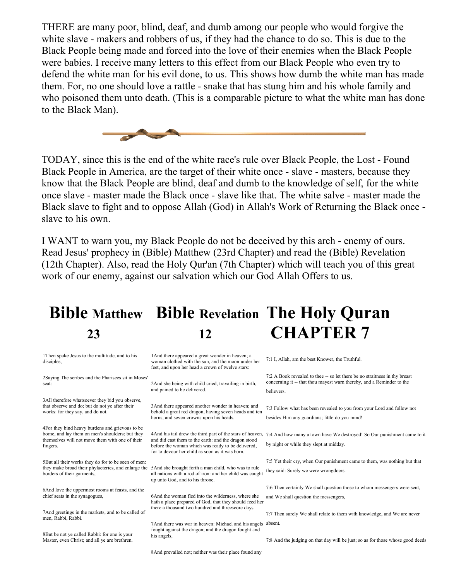THERE are many poor, blind, deaf, and dumb among our people who would forgive the white slave - makers and robbers of us, if they had the chance to do so. This is due to the Black People being made and forced into the love of their enemies when the Black People were babies. I receive many letters to this effect from our Black People who even try to defend the white man for his evil done, to us. This shows how dumb the white man has made them. For, no one should love a rattle - snake that has stung him and his whole family and who poisoned them unto death. (This is a comparable picture to what the white man has done to the Black Man).



TODAY, since this is the end of the white race's rule over Black People, the Lost - Found Black People in America, are the target of their white once - slave - masters, because they know that the Black People are blind, deaf and dumb to the knowledge of self, for the white once slave - master made the Black once - slave like that. The white salve - master made the Black slave to fight and to oppose Allah (God) in Allah's Work of Returning the Black once slave to his own.

I WANT to warn you, my Black People do not be deceived by this arch - enemy of ours. Read Jesus' prophecy in (Bible) Matthew (23rd Chapter) and read the (Bible) Revelation (12th Chapter). Also, read the Holy Qur'an (7th Chapter) which will teach you of this great work of our enemy, against our salvation which our God Allah Offers to us.

## **Bible Matthew Bible Revelation The Holy Quran 23 12 CHAPTER 7**

| 1 Then spake Jesus to the multitude, and to his<br>disciples,                                                   | 1 And there appeared a great wonder in heaven; a<br>woman clothed with the sun, and the moon under her<br>feet, and upon her head a crown of twelve stars:                                                                 | 7:1 I, Allah, am the best Knower, the Truthful.                                                                                                      |
|-----------------------------------------------------------------------------------------------------------------|----------------------------------------------------------------------------------------------------------------------------------------------------------------------------------------------------------------------------|------------------------------------------------------------------------------------------------------------------------------------------------------|
| 2Saying The scribes and the Pharisees sit in Moses'<br>seat:                                                    | 2And she being with child cried, travailing in birth,<br>and pained to be delivered.                                                                                                                                       | 7:2 A Book revealed to thee -- so let there be no straitness in thy breast<br>concerning it -- that thou may est warn thereby, and a Reminder to the |
|                                                                                                                 |                                                                                                                                                                                                                            | believers.                                                                                                                                           |
| 3All therefore whatsoever they bid you observe,                                                                 |                                                                                                                                                                                                                            |                                                                                                                                                      |
| that observe and do; but do not ye after their<br>works: for they say, and do not.                              | 3And there appeared another wonder in heaven; and<br>behold a great red dragon, having seven heads and ten<br>horns, and seven crowns upon his heads.                                                                      | 7:3 Follow what has been revealed to you from your Lord and follow not                                                                               |
|                                                                                                                 |                                                                                                                                                                                                                            | besides Him any guardians; little do you mind!                                                                                                       |
| 4For they bind heavy burdens and grievous to be                                                                 |                                                                                                                                                                                                                            |                                                                                                                                                      |
| borne, and lay them on men's shoulders; but they<br>themselves will not move them with one of their<br>fingers. | 4 And his tail drew the third part of the stars of heaven,<br>and did cast them to the earth: and the dragon stood<br>before the woman which was ready to be delivered,<br>for to devour her child as soon as it was born. | 7:4 And how many a town have We destroyed! So Our punishment came to it                                                                              |
|                                                                                                                 |                                                                                                                                                                                                                            | by night or while they slept at midday.                                                                                                              |
| 5But all their works they do for to be seen of men:                                                             |                                                                                                                                                                                                                            | 7:5 Yet their cry, when Our punishment came to them, was nothing but that                                                                            |
| they make broad their phylacteries, and enlarge the<br>borders of their garments,                               | 5And she brought forth a man child, who was to rule<br>all nations with a rod of iron: and her child was caught<br>up unto God, and to his throne.                                                                         | they said: Surely we were wrongdoers.                                                                                                                |
| 6And love the uppermost rooms at feasts, and the                                                                |                                                                                                                                                                                                                            | 7:6 Then certainly We shall question those to whom messengers were sent.                                                                             |
| chief seats in the synagogues,                                                                                  | 6 And the woman fled into the wilderness, where she<br>hath a place prepared of God, that they should feed her<br>there a thousand two hundred and threescore days.                                                        | and We shall question the messengers,                                                                                                                |
| 7And greetings in the markets, and to be called of                                                              |                                                                                                                                                                                                                            | 7:7 Then surely We shall relate to them with knowledge, and We are never                                                                             |
| men, Rabbi, Rabbi.                                                                                              | 7 And there was war in heaven: Michael and his angels                                                                                                                                                                      | absent.                                                                                                                                              |
| 8But be not ye called Rabbi: for one is your                                                                    | fought against the dragon; and the dragon fought and                                                                                                                                                                       |                                                                                                                                                      |
| Master, even Christ; and all ye are brethren.                                                                   | his angels,                                                                                                                                                                                                                | 7:8 And the judging on that day will be just; so as for those whose good deeds                                                                       |
|                                                                                                                 | 8 And prevailed not; neither was their place found any                                                                                                                                                                     |                                                                                                                                                      |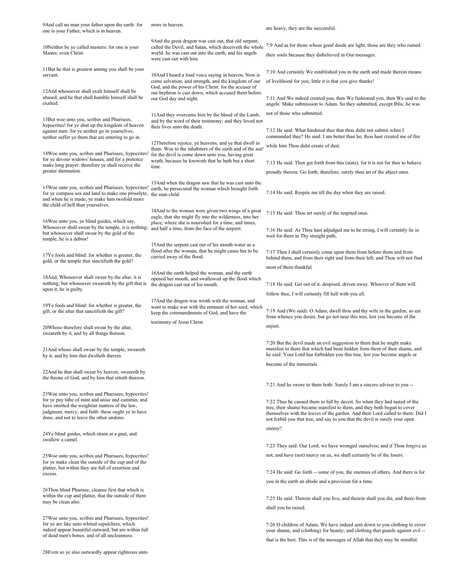| 9And call no man your father upon the earth: for<br>one is your Father, which is in heaven.                                                                                                                                                                   | more in heaven.                                                                                                                                                                                                              | are heavy, they are the successful.                                                                                                                                                                                                                                                                                    |
|---------------------------------------------------------------------------------------------------------------------------------------------------------------------------------------------------------------------------------------------------------------|------------------------------------------------------------------------------------------------------------------------------------------------------------------------------------------------------------------------------|------------------------------------------------------------------------------------------------------------------------------------------------------------------------------------------------------------------------------------------------------------------------------------------------------------------------|
| 10Neither be ye called masters: for one is your<br>Master, even Christ.                                                                                                                                                                                       | 9And the great dragon was cast out, that old serpent,<br>called the Devil, and Satan, which deceiveth the whole<br>world: he was cast out into the earth, and his angels<br>were cast out with him.                          | 7:9 And as for those whose good deeds are light, those are they who ruined<br>their souls because they disbelieved in Our messages.                                                                                                                                                                                    |
| 11 But he that is greatest among you shall be your                                                                                                                                                                                                            |                                                                                                                                                                                                                              |                                                                                                                                                                                                                                                                                                                        |
| servant.                                                                                                                                                                                                                                                      | 10And I heard a loud voice saying in heaven, Now is                                                                                                                                                                          | 7:10 And certainly We established you in the earth and made therein means                                                                                                                                                                                                                                              |
|                                                                                                                                                                                                                                                               | come salvation, and strength, and the kingdom of our<br>God, and the power of his Christ: for the accuser of<br>our brethren is cast down, which accused them before<br>our God day and night.                               | of livelihood for you; little it is that you give thanks!                                                                                                                                                                                                                                                              |
| 12And whosoever shall exalt himself shall be<br>abased; and he that shall humble himself shall be<br>exalted.                                                                                                                                                 |                                                                                                                                                                                                                              | 7:11 And We indeed created you, then We fashioned you, then We said to the<br>angels: Make submission to Adam. So they submitted, except Iblis; he was                                                                                                                                                                 |
|                                                                                                                                                                                                                                                               |                                                                                                                                                                                                                              | not of those who submitted.                                                                                                                                                                                                                                                                                            |
| 13But woe unto you, scribes and Pharisees,<br>hypocrites! for ye shut up the kingdom of heaven<br>against men: for ye neither go in yourselves,                                                                                                               | 11 And they overcame him by the blood of the Lamb,<br>and by the word of their testimony; and they loved not<br>their lives unto the death.                                                                                  | 7:12 He said: What hindered thee that thou didst not submit when I                                                                                                                                                                                                                                                     |
| neither suffer ye them that are entering to go in.                                                                                                                                                                                                            |                                                                                                                                                                                                                              | commanded thee? He said: I am better than he; thou hast created me of fire                                                                                                                                                                                                                                             |
| 14Woe unto you, scribes and Pharisees, hypocrites!<br>for ye devour widows' houses, and for a pretence                                                                                                                                                        | 12Therefore rejoice, ye heavens, and ye that dwell in<br>them. Woe to the inhabiters of the earth and of the sea!<br>for the devil is come down unto you, having great<br>wrath, because he knoweth that he hath but a short | while him Thou didst create of dust.                                                                                                                                                                                                                                                                                   |
| make long prayer: therefore ye shall receive the                                                                                                                                                                                                              | time.                                                                                                                                                                                                                        | 7:13 He said: Then get forth from this (state), for it is not for thee to behave                                                                                                                                                                                                                                       |
| greater damnation.                                                                                                                                                                                                                                            |                                                                                                                                                                                                                              | proudly therein. Go forth, therefore, surely thou art of the abject ones.                                                                                                                                                                                                                                              |
| 15 Woe unto you, scribes and Pharisees, hypocrites!<br>for ye compass sea and land to make one proselyte,<br>and when he is made, ye make him twofold more<br>the child of hell than yourselves.                                                              | 13And when the dragon saw that he was cast unto the<br>earth, he persecuted the woman which brought forth<br>the man child.                                                                                                  | 7:14 He said: Respite me till the day when they are raised.                                                                                                                                                                                                                                                            |
| 16Woe unto you, ye blind guides, which say,                                                                                                                                                                                                                   | 14And to the woman were given two wings of a great<br>eagle, that she might fly into the wilderness, into her<br>place, where she is nourished for a time, and times,<br>and half a time, from the face of the serpent.      | 7:15 He said: Thou art surely of the respited ones.                                                                                                                                                                                                                                                                    |
| Whosoever shall swear by the temple, it is nothing;<br>but whosoever shall swear by the gold of the<br>temple, he is a debtor!                                                                                                                                |                                                                                                                                                                                                                              | 7:16 He said: As Thou hast adjudged me to be erring, I will certainly lie in<br>wait for them in Thy straight path,                                                                                                                                                                                                    |
| 17Ye fools and blind: for whether is greater, the<br>gold, or the temple that sanctifieth the gold?                                                                                                                                                           | 15And the serpent cast out of his mouth water as a<br>flood after the woman, that he might cause her to be<br>carried away of the flood.                                                                                     | 7:17 Then I shall certainly come upon them from before them and from<br>behind them, and from their right and from their left; and Thou wilt not find                                                                                                                                                                  |
|                                                                                                                                                                                                                                                               |                                                                                                                                                                                                                              | most of them thankful.                                                                                                                                                                                                                                                                                                 |
|                                                                                                                                                                                                                                                               | 16And the earth helped the woman, and the earth                                                                                                                                                                              |                                                                                                                                                                                                                                                                                                                        |
| 18And, Whosoever shall swear by the altar, it is<br>nothing; but whosoever sweareth by the gift that is                                                                                                                                                       | opened her mouth, and swallowed up the flood which                                                                                                                                                                           |                                                                                                                                                                                                                                                                                                                        |
| upon it, he is guilty.                                                                                                                                                                                                                                        | the dragon cast out of his mouth.                                                                                                                                                                                            | 7:18 He said: Get out of it, despised, driven away. Whoever of them will                                                                                                                                                                                                                                               |
|                                                                                                                                                                                                                                                               |                                                                                                                                                                                                                              | follow thee, I will certainly fill hell with you all.                                                                                                                                                                                                                                                                  |
| 19Ye fools and blind: for whether is greater, the<br>gift, or the altar that sanctifieth the gift?                                                                                                                                                            | 17And the dragon was wroth with the woman, and<br>went to make war with the remnant of her seed, which<br>keep the commandments of God, and have the                                                                         | 7:19 And (We said): O Adam, dwell thou and thy wife in the garden, so eat<br>from whence you desire, but go not near this tree, lest you become of the                                                                                                                                                                 |
|                                                                                                                                                                                                                                                               | testimony of Jesus Christ.                                                                                                                                                                                                   |                                                                                                                                                                                                                                                                                                                        |
| 20Whoso therefore shall swear by the altar,<br>sweareth by it, and by all things thereon.                                                                                                                                                                     |                                                                                                                                                                                                                              | unjust.                                                                                                                                                                                                                                                                                                                |
| 21And whoso shall swear by the temple, sweareth<br>by it, and by him that dwelleth therein.                                                                                                                                                                   |                                                                                                                                                                                                                              | 7:20 But the devil made an evil suggestion to them that he might make<br>manifest to them that which had been hidden from them of their shame, and<br>he said: Your Lord has forbidden you this tree, lest you become angels or                                                                                        |
|                                                                                                                                                                                                                                                               |                                                                                                                                                                                                                              | become of the immortals.                                                                                                                                                                                                                                                                                               |
| 22And he that shall swear by heaven, sweareth by<br>the throne of God, and by him that sitteth thereon.                                                                                                                                                       |                                                                                                                                                                                                                              |                                                                                                                                                                                                                                                                                                                        |
|                                                                                                                                                                                                                                                               |                                                                                                                                                                                                                              | 7:21 And he swore to them both: Surely I am a sincere adviser to you --                                                                                                                                                                                                                                                |
| 23 Woe unto you, scribes and Pharisees, hypocrites!<br>for ye pay tithe of mint and anise and cummin, and<br>have omitted the weightier matters of the law,<br>judgment, mercy, and faith: these ought ye to have<br>done, and not to leave the other undone. |                                                                                                                                                                                                                              | 7:22 Thus he caused them to fall by deceit. So when they had tasted of the<br>tree, their shame became manifest to them, and they both began to cover<br>themselves with the leaves of the garden. And their Lord called to them: Did I<br>not forbid you that tree, and say to you that the devil is surely your open |
|                                                                                                                                                                                                                                                               |                                                                                                                                                                                                                              | enemy?                                                                                                                                                                                                                                                                                                                 |
| 24Ye blind guides, which strain at a gnat, and<br>swallow a camel.                                                                                                                                                                                            |                                                                                                                                                                                                                              |                                                                                                                                                                                                                                                                                                                        |
|                                                                                                                                                                                                                                                               |                                                                                                                                                                                                                              | 7:23 They said: Our Lord, we have wronged ourselves; and if Thou forgive us                                                                                                                                                                                                                                            |
| 25 Woe unto you, scribes and Pharisees, hypocrites!                                                                                                                                                                                                           |                                                                                                                                                                                                                              | not, and have (not) mercy on us, we shall certainly be of the losers.                                                                                                                                                                                                                                                  |
| for ye make clean the outside of the cup and of the                                                                                                                                                                                                           |                                                                                                                                                                                                                              |                                                                                                                                                                                                                                                                                                                        |
| platter, but within they are full of extortion and<br>excess.                                                                                                                                                                                                 |                                                                                                                                                                                                                              | 7:24 He said: Go forth -- some of you, the enemies of others. And there is for                                                                                                                                                                                                                                         |
|                                                                                                                                                                                                                                                               |                                                                                                                                                                                                                              | you in the earth an abode and a provision for a time.                                                                                                                                                                                                                                                                  |
| 26Thou blind Pharisee, cleanse first that which is<br>within the cup and platter, that the outside of them<br>may be clean also.                                                                                                                              |                                                                                                                                                                                                                              | 7:25 He said: Therein shall you live, and therein shall you die, and there-from                                                                                                                                                                                                                                        |
|                                                                                                                                                                                                                                                               |                                                                                                                                                                                                                              |                                                                                                                                                                                                                                                                                                                        |
|                                                                                                                                                                                                                                                               |                                                                                                                                                                                                                              | shall you be raised.                                                                                                                                                                                                                                                                                                   |
| 27 Woe unto you, scribes and Pharisees, hypocrites!<br>for ye are like unto whited sepulchres, which<br>indeed appear beautiful outward, but are within full<br>of dead men's bones, and of all uncleanness.                                                  |                                                                                                                                                                                                                              | 7:26 O children of Adam, We have indeed sent down to you clothing to cover<br>your shame, and (clothing) for beauty; and clothing that guards against evil --                                                                                                                                                          |
|                                                                                                                                                                                                                                                               |                                                                                                                                                                                                                              | that is the best. This is of the messages of Allah that they may be mindful.                                                                                                                                                                                                                                           |

28Even so ye also outwardly appear righteous unto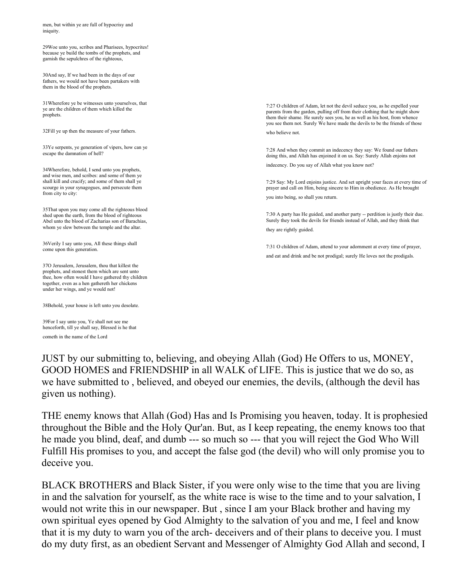men, but within ye are full of hypocrisy and iniquity.

29Woe unto you, scribes and Pharisees, hypocrites! because ye build the tombs of the prophets, and garnish the sepulchres of the righteous,

30And say, If we had been in the days of our fathers, we would not have been partakers with them in the blood of the prophets.

31Wherefore ye be witnesses unto yourselves, that ye are the children of them which killed the prophets.

32Fill ye up then the measure of your fathers.

33Ye serpents, ye generation of vipers, how can ye escape the damnation of hell?

34Wherefore, behold, I send unto you prophets, and wise men, and scribes: and some of them ye shall kill and crucify; and some of them shall ye scourge in your synagogues, and persecute them from city to city:

35That upon you may come all the righteous blood shed upon the earth, from the blood of righteous Abel unto the blood of Zacharias son of Barachias, whom ye slew between the temple and the altar.

36Verily I say unto you, All these things shall come upon this generation.

37O Jerusalem, Jerusalem, thou that killest the prophets, and stonest them which are sent unto thee, how often would I have gathered thy children together, even as a hen gathereth her chickens under her wings, and ye would not!

38Behold, your house is left unto you desolate.

39For I say unto you, Ye shall not see me henceforth, till ye shall say, Blessed is he that cometh in the name of the Lord

7:27 O children of Adam, let not the devil seduce you, as he expelled your parents from the garden, pulling off from their clothing that he might show them their shame. He surely sees you, he as well as his host, from whence you see them not. Surely We have made the devils to be the friends of those who believe not.

7:28 And when they commit an indecency they say: We found our fathers doing this, and Allah has enjoined it on us. Say: Surely Allah enjoins not

indecency. Do you say of Allah what you know not?

7:29 Say: My Lord enjoins justice. And set upright your faces at every time of prayer and call on Him, being sincere to Him in obedience. As He brought you into being, so shall you return.

7:30 A party has He guided, and another party -- perdition is justly their due. Surely they took the devils for friends instead of Allah, and they think that they are rightly guided.

7:31 O children of Adam, attend to your adornment at every time of prayer, and eat and drink and be not prodigal; surely He loves not the prodigals.

JUST by our submitting to, believing, and obeying Allah (God) He Offers to us, MONEY, GOOD HOMES and FRIENDSHIP in all WALK of LIFE. This is justice that we do so, as we have submitted to , believed, and obeyed our enemies, the devils, (although the devil has given us nothing).

THE enemy knows that Allah (God) Has and Is Promising you heaven, today. It is prophesied throughout the Bible and the Holy Qur'an. But, as I keep repeating, the enemy knows too that he made you blind, deaf, and dumb --- so much so --- that you will reject the God Who Will Fulfill His promises to you, and accept the false god (the devil) who will only promise you to deceive you.

BLACK BROTHERS and Black Sister, if you were only wise to the time that you are living in and the salvation for yourself, as the white race is wise to the time and to your salvation, I would not write this in our newspaper. But , since I am your Black brother and having my own spiritual eyes opened by God Almighty to the salvation of you and me, I feel and know that it is my duty to warn you of the arch- deceivers and of their plans to deceive you. I must do my duty first, as an obedient Servant and Messenger of Almighty God Allah and second, I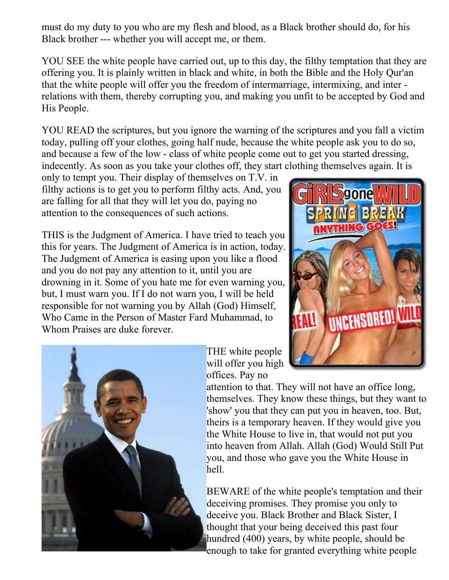must do my duty to you who are my flesh and blood, as a Black brother should do, for his Black brother --- whether you will accept me, or them.

YOU SEE the white people have carried out, up to this day, the filthy temptation that they are offering you. It is plainly written in black and white, in both the Bible and the Holy Qur'an that the white people will offer you the freedom of intermarriage, intermixing, and inter relations with them, thereby corrupting you, and making you unfit to be accepted by God and His People.

YOU READ the scriptures, but you ignore the warning of the scriptures and you fall a victim today, pulling off your clothes, going half nude, because the white people ask you to do so, and because a few of the low - class of white people come out to get you started dressing, indecently. As soon as you take your clothes off, they start clothing themselves again. It is

only to tempt you. Their display of themselves on T.V. in filthy actions is to get you to perform filthy acts. And, you are falling for all that they will let you do, paying no attention to the consequences of such actions.

THIS is the Judgment of America. I have tried to teach you this for years. The Judgment of America is in action, today. The Judgment of America is easing upon you like a flood and you do not pay any attention to it, until you are drowning in it. Some of you hate me for even warning you, but, I must warn you. If I do not warn you, I will be held responsible for not warning you by Allah (God) Himself, Who Came in the Person of Master Fard Muhammad, to Whom Praises are duke forever.





THE white people will offer you high offices. Pay no

attention to that. They will not have an office long, themselves. They know these things, but they want to 'show' you that they can put you in heaven, too. But, theirs is a temporary heaven. If they would give you the White House to live in, that would not put you into heaven from Allah. Allah (God) Would Still Put you, and those who gave you the White House in hell.

BEWARE of the white people's temptation and their deceiving promises. They promise you only to deceive you. Black Brother and Black Sister, I thought that your being deceived this past four hundred (400) years, by white people, should be enough to take for granted everything white people